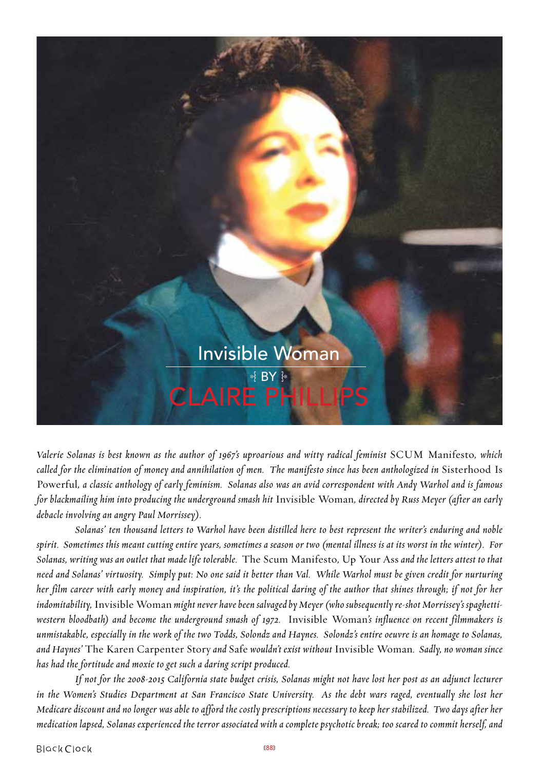

*Valerie Solanas is best known as the author of 1967's uproarious and witty radical feminist* SCUM Manifesto*, which called for the elimination of money and annihilation of men. The manifesto since has been anthologized in* Sisterhood Is Powerful*, a classic anthology of early feminism. Solanas also was an avid correspondent with Andy Warhol and is famous for blackmailing him into producing the underground smash hit* Invisible Woman*, directed by Russ Meyer (after an early debacle involving an angry Paul Morrissey).* 

 *Solanas' ten thousand letters to Warhol have been distilled here to best represent the writer's enduring and noble spirit. Sometimes this meant cutting entire years, sometimes a season or two (mental illness is at its worst in the winter). For Solanas, writing was an outlet that made life tolerable.* The Scum Manifesto*,* Up Your Ass *and the letters attest to that need and Solanas' virtuosity. Simply put: No one said it better than Val. While Warhol must be given credit for nurturing her film career with early money and inspiration, it's the political daring of the author that shines through; if not for her indomitability,* Invisible Woman *might never have been salvaged by Meyer (who subsequently re-shot Morrissey's spaghettiwestern bloodbath) and become the underground smash of 1972.* Invisible Woman*'s influence on recent filmmakers is unmistakable, especially in the work of the two Todds, Solondz and Haynes. Solondz's entire oeuvre is an homage to Solanas, and Haynes'* The Karen Carpenter Story *and* Safe *wouldn't exist without* Invisible Woman*. Sadly, no woman since has had the fortitude and moxie to get such a daring script produced.*

*If not for the 2008-2015 California state budget crisis, Solanas might not have lost her post as an adjunct lecturer in the Women's Studies Department at San Francisco State University. As the debt wars raged, eventually she lost her Medicare discount and no longer was able to afford the costly prescriptions necessary to keep her stabilized. Two days after her medication lapsed, Solanas experienced the terror associated with a complete psychotic break; too scared to commit herself, and*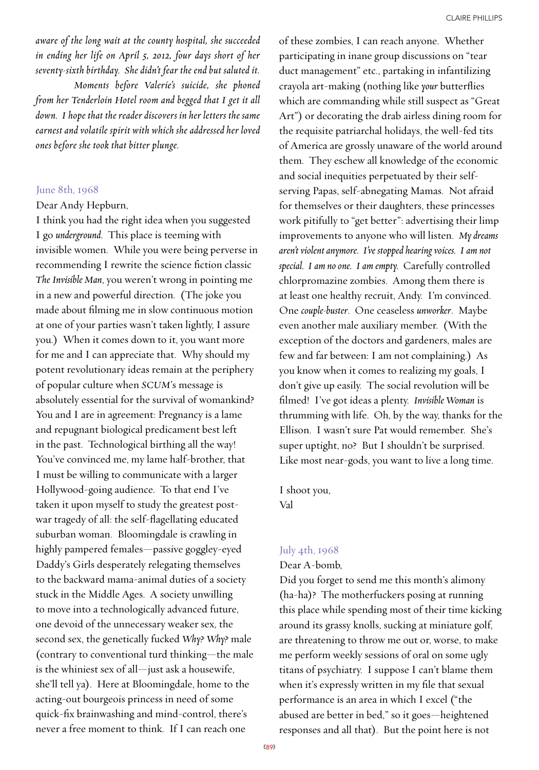*aware of the long wait at the county hospital, she succeeded in ending her life on April 5, 2012, four days short of her seventy-sixth birthday. She didn't fear the end but saluted it.*

*Moments before Valerie's suicide, she phoned from her Tenderloin Hotel room and begged that I get it all down. I hope that the reader discovers in her letters the same earnest and volatile spirit with which she addressed her loved ones before she took that bitter plunge.*

#### June 8th, 1968

#### Dear Andy Hepburn,

I think you had the right idea when you suggested I go *underground*. This place is teeming with invisible women. While you were being perverse in recommending I rewrite the science fiction classic *The Invisible Man*, you weren't wrong in pointing me in a new and powerful direction. (The joke you made about filming me in slow continuous motion at one of your parties wasn't taken lightly, I assure you.) When it comes down to it, you want more for me and I can appreciate that. Why should my potent revolutionary ideas remain at the periphery of popular culture when *SCUM*'s message is absolutely essential for the survival of womankind? You and I are in agreement: Pregnancy is a lame and repugnant biological predicament best left in the past. Technological birthing all the way! You've convinced me, my lame half-brother, that I must be willing to communicate with a larger Hollywood-going audience. To that end I've taken it upon myself to study the greatest postwar tragedy of all: the self-flagellating educated suburban woman. Bloomingdale is crawling in highly pampered females—passive goggley-eyed Daddy's Girls desperately relegating themselves to the backward mama-animal duties of a society stuck in the Middle Ages. A society unwilling to move into a technologically advanced future, one devoid of the unnecessary weaker sex, the second sex, the genetically fucked *Why? Why?* male (contrary to conventional turd thinking—the male is the whiniest sex of all—just ask a housewife, she'll tell ya). Here at Bloomingdale, home to the acting-out bourgeois princess in need of some quick-fix brainwashing and mind-control, there's never a free moment to think. If I can reach one

of these zombies, I can reach anyone. Whether participating in inane group discussions on "tear duct management" etc., partaking in infantilizing crayola art-making (nothing like *your* butterflies which are commanding while still suspect as "Great Art") or decorating the drab airless dining room for the requisite patriarchal holidays, the well-fed tits of America are grossly unaware of the world around them. They eschew all knowledge of the economic and social inequities perpetuated by their selfserving Papas, self-abnegating Mamas. Not afraid for themselves or their daughters, these princesses work pitifully to "get better": advertising their limp improvements to anyone who will listen. *My dreams aren't violent anymore. I've stopped hearing voices. I am not special. I am no one. I am empty.* Carefully controlled chlorpromazine zombies. Among them there is at least one healthy recruit, Andy. I'm convinced. One *couple-buster*. One ceaseless *unworker*. Maybe even another male auxiliary member. (With the exception of the doctors and gardeners, males are few and far between: I am not complaining.) As you know when it comes to realizing my goals, I don't give up easily. The social revolution will be filmed! I've got ideas a plenty. *Invisible Woman* is thrumming with life. Oh, by the way, thanks for the Ellison. I wasn't sure Pat would remember. She's super uptight, no? But I shouldn't be surprised. Like most near-gods, you want to live a long time.

I shoot you, Val

#### July 4th, 1968

#### Dear A-bomb,

Did you forget to send me this month's alimony (ha-ha)? The motherfuckers posing at running this place while spending most of their time kicking around its grassy knolls, sucking at miniature golf, are threatening to throw me out or, worse, to make me perform weekly sessions of oral on some ugly titans of psychiatry. I suppose I can't blame them when it's expressly written in my file that sexual performance is an area in which I excel ("the abused are better in bed," so it goes—heightened responses and all that). But the point here is not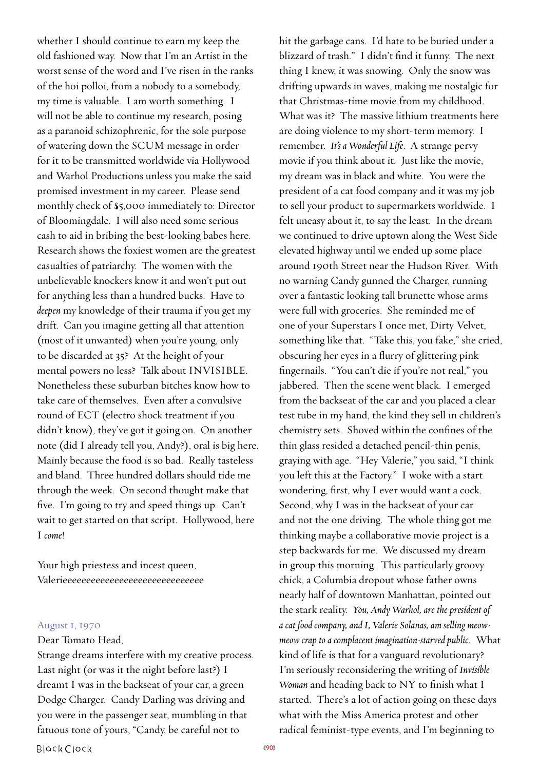whether I should continue to earn my keep the old fashioned way. Now that I'm an Artist in the worst sense of the word and I've risen in the ranks of the hoi polloi, from a nobody to a somebody, my time is valuable. I am worth something. I will not be able to continue my research, posing as a paranoid schizophrenic, for the sole purpose of watering down the SCUM message in order for it to be transmitted worldwide via Hollywood and Warhol Productions unless you make the said promised investment in my career. Please send monthly check of \$5,000 immediately to: Director of Bloomingdale. I will also need some serious cash to aid in bribing the best-looking babes here. Research shows the foxiest women are the greatest casualties of patriarchy. The women with the unbelievable knockers know it and won't put out for anything less than a hundred bucks. Have to *deepen* my knowledge of their trauma if you get my drift. Can you imagine getting all that attention (most of it unwanted) when you're young, only to be discarded at 35? At the height of your mental powers no less? Talk about INVISIBLE. Nonetheless these suburban bitches know how to take care of themselves. Even after a convulsive round of ECT (electro shock treatment if you didn't know), they've got it going on. On another note (did I already tell you, Andy?), oral is big here. Mainly because the food is so bad. Really tasteless and bland. Three hundred dollars should tide me through the week. On second thought make that five. I'm going to try and speed things up. Can't wait to get started on that script. Hollywood, here I *come*!

Your high priestess and incest queen, Valerieeeeeeeeeeeeeeeeeeeeeeeeeeeeee

## August 1, 1970

## Dear Tomato Head,

Strange dreams interfere with my creative process. Last night (or was it the night before last?) I dreamt I was in the backseat of your car, a green Dodge Charger. Candy Darling was driving and you were in the passenger seat, mumbling in that fatuous tone of yours, "Candy, be careful not to

hit the garbage cans. I'd hate to be buried under a blizzard of trash." I didn't find it funny. The next thing I knew, it was snowing. Only the snow was drifting upwards in waves, making me nostalgic for that Christmas-time movie from my childhood. What was it? The massive lithium treatments here are doing violence to my short-term memory. I remember. *It's a Wonderful Life*. A strange pervy movie if you think about it. Just like the movie, my dream was in black and white. You were the president of a cat food company and it was my job to sell your product to supermarkets worldwide. I felt uneasy about it, to say the least. In the dream we continued to drive uptown along the West Side elevated highway until we ended up some place around 190th Street near the Hudson River. With no warning Candy gunned the Charger, running over a fantastic looking tall brunette whose arms were full with groceries. She reminded me of one of your Superstars I once met, Dirty Velvet, something like that. "Take this, you fake," she cried, obscuring her eyes in a flurry of glittering pink fingernails. "You can't die if you're not real," you jabbered. Then the scene went black. I emerged from the backseat of the car and you placed a clear test tube in my hand, the kind they sell in children's chemistry sets. Shoved within the confines of the thin glass resided a detached pencil-thin penis, graying with age. "Hey Valerie," you said, "I think you left this at the Factory." I woke with a start wondering, first, why I ever would want a cock. Second, why I was in the backseat of your car and not the one driving. The whole thing got me thinking maybe a collaborative movie project is a step backwards for me. We discussed my dream in group this morning. This particularly groovy chick, a Columbia dropout whose father owns nearly half of downtown Manhattan, pointed out the stark reality. *You, Andy Warhol, are the president of a cat food company, and I, Valerie Solanas, am selling meowmeow crap to a complacent imagination-starved public.* What kind of life is that for a vanguard revolutionary? I'm seriously reconsidering the writing of *Invisible Woman* and heading back to NY to finish what I started. There's a lot of action going on these days what with the Miss America protest and other radical feminist-type events, and I'm beginning to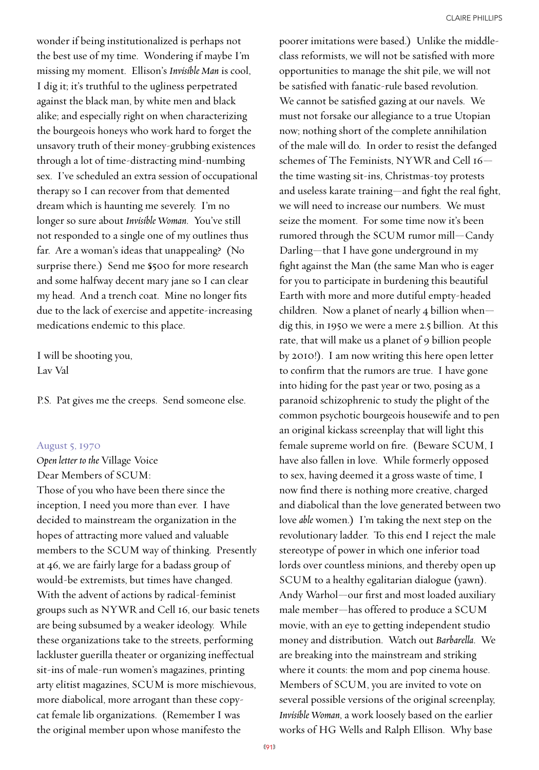wonder if being institutionalized is perhaps not the best use of my time. Wondering if maybe I'm missing my moment. Ellison's *Invisible Man* is cool, I dig it; it's truthful to the ugliness perpetrated against the black man, by white men and black alike; and especially right on when characterizing the bourgeois honeys who work hard to forget the unsavory truth of their money-grubbing existences through a lot of time-distracting mind-numbing sex. I've scheduled an extra session of occupational therapy so I can recover from that demented dream which is haunting me severely. I'm no longer so sure about *Invisible Woman*. You've still not responded to a single one of my outlines thus far. Are a woman's ideas that unappealing? (No surprise there.) Send me \$500 for more research and some halfway decent mary jane so I can clear my head. And a trench coat. Mine no longer fits due to the lack of exercise and appetite-increasing medications endemic to this place.

I will be shooting you, Lav Val

P.S. Pat gives me the creeps. Send someone else.

## August 5, 1970

*Open letter to the* Village Voice Dear Members of SCUM: Those of you who have been there since the inception, I need you more than ever. I have decided to mainstream the organization in the hopes of attracting more valued and valuable members to the SCUM way of thinking. Presently at 46, we are fairly large for a badass group of would-be extremists, but times have changed. With the advent of actions by radical-feminist groups such as NYWR and Cell 16, our basic tenets are being subsumed by a weaker ideology. While these organizations take to the streets, performing lackluster guerilla theater or organizing ineffectual sit-ins of male-run women's magazines, printing arty elitist magazines, SCUM is more mischievous, more diabolical, more arrogant than these copycat female lib organizations. (Remember I was the original member upon whose manifesto the

poorer imitations were based.) Unlike the middleclass reformists, we will not be satisfied with more opportunities to manage the shit pile, we will not be satisfied with fanatic-rule based revolution. We cannot be satisfied gazing at our navels. We must not forsake our allegiance to a true Utopian now; nothing short of the complete annihilation of the male will do. In order to resist the defanged schemes of The Feminists, NYWR and Cell 16 the time wasting sit-ins, Christmas-toy protests and useless karate training—and fight the real fight, we will need to increase our numbers. We must seize the moment. For some time now it's been rumored through the SCUM rumor mill—Candy Darling—that I have gone underground in my fight against the Man (the same Man who is eager for you to participate in burdening this beautiful Earth with more and more dutiful empty-headed children. Now a planet of nearly 4 billion when dig this, in 1950 we were a mere 2.5 billion. At this rate, that will make us a planet of 9 billion people by 2010!). I am now writing this here open letter to confirm that the rumors are true. I have gone into hiding for the past year or two, posing as a paranoid schizophrenic to study the plight of the common psychotic bourgeois housewife and to pen an original kickass screenplay that will light this female supreme world on fire. (Beware SCUM, I have also fallen in love. While formerly opposed to sex, having deemed it a gross waste of time, I now find there is nothing more creative, charged and diabolical than the love generated between two love *able* women.) I'm taking the next step on the revolutionary ladder. To this end I reject the male stereotype of power in which one inferior toad lords over countless minions, and thereby open up SCUM to a healthy egalitarian dialogue (yawn). Andy Warhol—our first and most loaded auxiliary male member—has offered to produce a SCUM movie, with an eye to getting independent studio money and distribution. Watch out *Barbarella*. We are breaking into the mainstream and striking where it counts: the mom and pop cinema house. Members of SCUM, you are invited to vote on several possible versions of the original screenplay, *Invisible Woman*, a work loosely based on the earlier works of HG Wells and Ralph Ellison. Why base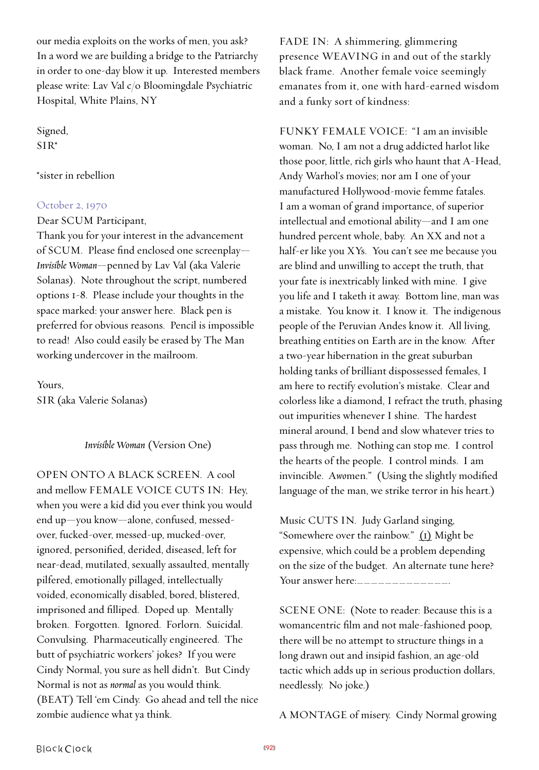our media exploits on the works of men, you ask? In a word we are building a bridge to the Patriarchy in order to one-day blow it up. Interested members please write: Lav Val c/o Bloomingdale Psychiatric Hospital, White Plains, NY

Signed, SIR\*

## \*sister in rebellion

### October 2, 1970

Dear SCUM Participant,

Thank you for your interest in the advancement of SCUM. Please find enclosed one screenplay— *Invisible Woman*—penned by Lav Val (aka Valerie Solanas). Note throughout the script, numbered options 1-8. Please include your thoughts in the space marked: your answer here. Black pen is preferred for obvious reasons. Pencil is impossible to read! Also could easily be erased by The Man working undercover in the mailroom.

Yours, SIR (aka Valerie Solanas)

## *Invisible Woman* (Version One)

OPEN ONTO A BLACK SCREEN. A cool and mellow FEMALE VOICE CUTS IN: Hey, when you were a kid did you ever think you would end up—you know—alone, confused, messedover, fucked-over, messed-up, mucked-over, ignored, personified, derided, diseased, left for near-dead, mutilated, sexually assaulted, mentally pilfered, emotionally pillaged, intellectually voided, economically disabled, bored, blistered, imprisoned and filliped. Doped up. Mentally broken. Forgotten. Ignored. Forlorn. Suicidal. Convulsing. Pharmaceutically engineered. The butt of psychiatric workers' jokes? If you were Cindy Normal, you sure as hell didn't. But Cindy Normal is not as *normal* as you would think. (BEAT) Tell 'em Cindy. Go ahead and tell the nice zombie audience what ya think.

FADE IN: A shimmering, glimmering presence WEAVING in and out of the starkly black frame. Another female voice seemingly emanates from it, one with hard-earned wisdom and a funky sort of kindness:

FUNKY FEMALE VOICE: "I am an invisible woman. No, I am not a drug addicted harlot like those poor, little, rich girls who haunt that A-Head, Andy Warhol's movies; nor am I one of your manufactured Hollywood-movie femme fatales. I am a woman of grand importance, of superior intellectual and emotional ability—and I am one hundred percent whole, baby. An XX and not a half-er like you XYs. You can't see me because you are blind and unwilling to accept the truth, that your fate is inextricably linked with mine. I give you life and I taketh it away. Bottom line, man was a mistake. You know it. I know it. The indigenous people of the Peruvian Andes know it. All living, breathing entities on Earth are in the know. After a two-year hibernation in the great suburban holding tanks of brilliant dispossessed females, I am here to rectify evolution's mistake. Clear and colorless like a diamond, I refract the truth, phasing out impurities whenever I shine. The hardest mineral around, I bend and slow whatever tries to pass through me. Nothing can stop me. I control the hearts of the people. I control minds. I am invincible. A*wo*men." (Using the slightly modified language of the man, we strike terror in his heart.)

Music CUTS IN. Judy Garland singing, "Somewhere over the rainbow." (1) Might be expensive, which could be a problem depending on the size of the budget. An alternate tune here? Your answer here:\_\_\_\_\_\_\_\_\_\_\_\_\_.

SCENE ONE: (Note to reader: Because this is a womancentric film and not male-fashioned poop, there will be no attempt to structure things in a long drawn out and insipid fashion, an age-old tactic which adds up in serious production dollars, needlessly. No joke.)

A MONTAGE of misery. Cindy Normal growing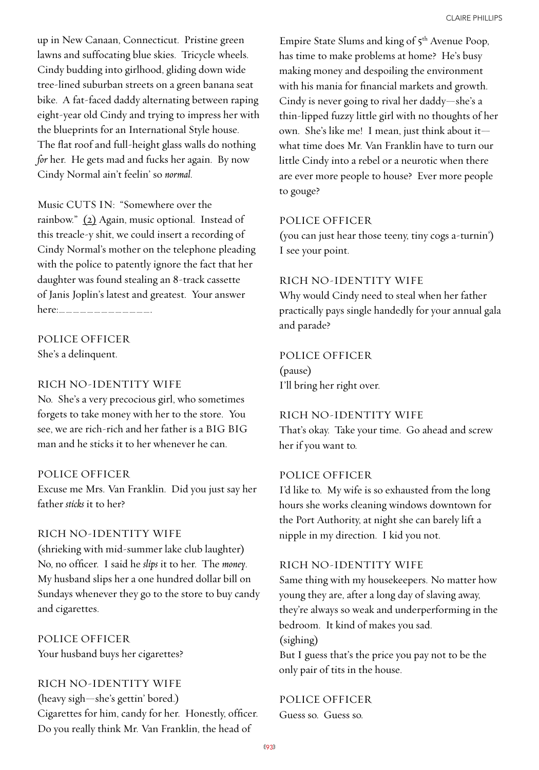up in New Canaan, Connecticut. Pristine green lawns and suffocating blue skies. Tricycle wheels. Cindy budding into girlhood, gliding down wide tree-lined suburban streets on a green banana seat bike. A fat-faced daddy alternating between raping eight-year old Cindy and trying to impress her with the blueprints for an International Style house. The flat roof and full-height glass walls do nothing *for* her. He gets mad and fucks her again. By now Cindy Normal ain't feelin' so *normal*.

Music CUTS IN: "Somewhere over the rainbow." (2) Again, music optional. Instead of this treacle-y shit, we could insert a recording of Cindy Normal's mother on the telephone pleading with the police to patently ignore the fact that her daughter was found stealing an 8-track cassette of Janis Joplin's latest and greatest. Your answer here:\_\_\_\_\_\_\_\_\_\_\_\_\_.

# POLICE OFFICER

She's a delinquent.

# RICH NO-IDENTITY WIFE

No. She's a very precocious girl, who sometimes forgets to take money with her to the store. You see, we are rich-rich and her father is a BIG BIG man and he sticks it to her whenever he can.

# POLICE OFFICER

Excuse me Mrs. Van Franklin. Did you just say her father *sticks* it to her?

# RICH NO-IDENTITY WIFE

(shrieking with mid-summer lake club laughter) No, no officer. I said he *slips* it to her. The *money*. My husband slips her a one hundred dollar bill on Sundays whenever they go to the store to buy candy and cigarettes.

POLICE OFFICER Your husband buys her cigarettes?

RICH NO-IDENTITY WIFE (heavy sigh—she's gettin' bored.) Cigarettes for him, candy for her. Honestly, officer. Do you really think Mr. Van Franklin, the head of

Empire State Slums and king of 5<sup>th</sup> Avenue Poop, has time to make problems at home? He's busy making money and despoiling the environment with his mania for financial markets and growth. Cindy is never going to rival her daddy—she's a thin-lipped fuzzy little girl with no thoughts of her own. She's like me! I mean, just think about it what time does Mr. Van Franklin have to turn our little Cindy into a rebel or a neurotic when there are ever more people to house? Ever more people to gouge?

## POLICE OFFICER

(you can just hear those teeny, tiny cogs a-turnin') I see your point.

## RICH NO-IDENTITY WIFE

Why would Cindy need to steal when her father practically pays single handedly for your annual gala and parade?

# POLICE OFFICER

(pause) I'll bring her right over.

# RICH NO-IDENTITY WIFE

That's okay. Take your time. Go ahead and screw her if you want to.

## POLICE OFFICER

I'd like to. My wife is so exhausted from the long hours she works cleaning windows downtown for the Port Authority, at night she can barely lift a nipple in my direction. I kid you not.

## RICH NO-IDENTITY WIFE

Same thing with my housekeepers. No matter how young they are, after a long day of slaving away, they're always so weak and underperforming in the bedroom. It kind of makes you sad. (sighing)

But I guess that's the price you pay not to be the only pair of tits in the house.

# POLICE OFFICER

Guess so. Guess so.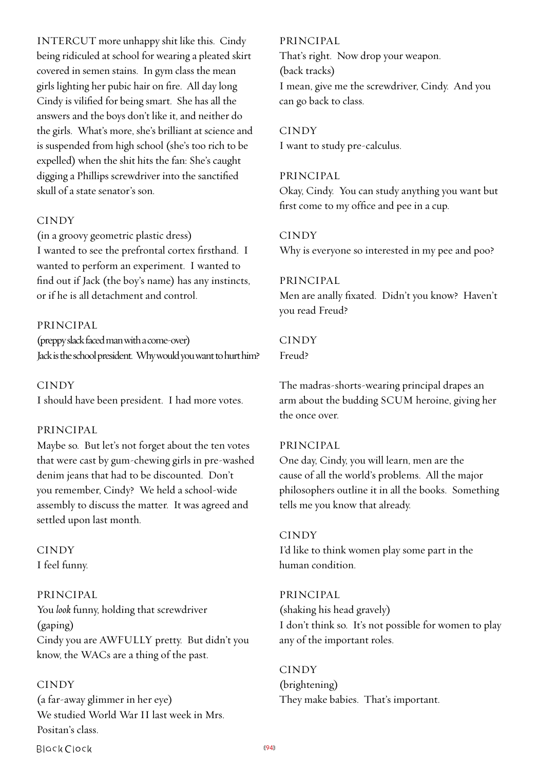INTERCUT more unhappy shit like this. Cindy being ridiculed at school for wearing a pleated skirt covered in semen stains. In gym class the mean girls lighting her pubic hair on fire. All day long Cindy is vilified for being smart. She has all the answers and the boys don't like it, and neither do the girls. What's more, she's brilliant at science and is suspended from high school (she's too rich to be expelled) when the shit hits the fan: She's caught digging a Phillips screwdriver into the sanctified skull of a state senator's son.

## **CINDY**

(in a groovy geometric plastic dress) I wanted to see the prefrontal cortex firsthand. I wanted to perform an experiment. I wanted to find out if Jack (the boy's name) has any instincts, or if he is all detachment and control.

### PRINCIPAL

(preppy slack faced man with a come-over) Jack is the school president. Why would you want to hurt him?

CINDY I should have been president. I had more votes.

#### PRINCIPAL

Maybe so. But let's not forget about the ten votes that were cast by gum-chewing girls in pre-washed denim jeans that had to be discounted. Don't you remember, Cindy? We held a school-wide assembly to discuss the matter. It was agreed and settled upon last month.

CINDY I feel funny.

## PRINCIPAL

You *look* funny, holding that screwdriver (gaping) Cindy you are AWFULLY pretty. But didn't you know, the WACs are a thing of the past.

#### CINDY

(a far-away glimmer in her eye) We studied World War II last week in Mrs. Positan's class.

**Black Clock** 

#### PRINCIPAL

That's right. Now drop your weapon. (back tracks) I mean, give me the screwdriver, Cindy. And you can go back to class.

**CINDY** I want to study pre-calculus.

## PRINCIPAL

Okay, Cindy. You can study anything you want but first come to my office and pee in a cup.

## **CINDY**

Why is everyone so interested in my pee and poo?

#### PRINCIPAL

Men are anally fixated. Didn't you know? Haven't you read Freud?

# CINDY

Freud?

The madras-shorts-wearing principal drapes an arm about the budding SCUM heroine, giving her the once over.

#### PRINCIPAL

One day, Cindy, you will learn, men are the cause of all the world's problems. All the major philosophers outline it in all the books. Something tells me you know that already.

## CINDY

I'd like to think women play some part in the human condition.

PRINCIPAL (shaking his head gravely) I don't think so. It's not possible for women to play any of the important roles.

**CINDY** (brightening) They make babies. That's important.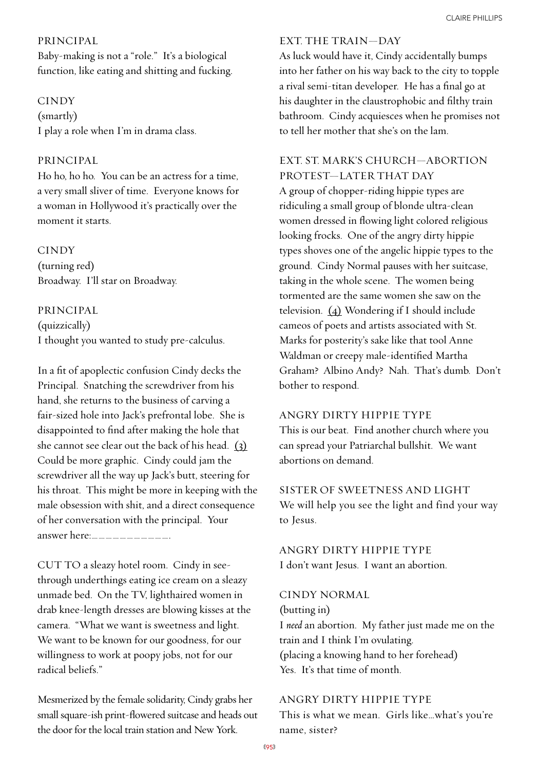## PRINCIPAL

Baby-making is not a "role." It's a biological function, like eating and shitting and fucking.

#### CINDY

(smartly) I play a role when I'm in drama class.

#### PRINCIPAL

Ho ho, ho ho. You can be an actress for a time, a very small sliver of time. Everyone knows for a woman in Hollywood it's practically over the moment it starts.

#### CINDY

(turning red) Broadway. I'll star on Broadway.

PRINCIPAL (quizzically) I thought you wanted to study pre-calculus.

In a fit of apoplectic confusion Cindy decks the Principal. Snatching the screwdriver from his hand, she returns to the business of carving a fair-sized hole into Jack's prefrontal lobe. She is disappointed to find after making the hole that she cannot see clear out the back of his head. (3) Could be more graphic. Cindy could jam the screwdriver all the way up Jack's butt, steering for his throat. This might be more in keeping with the male obsession with shit, and a direct consequence of her conversation with the principal. Your answer here:\_\_\_\_\_\_\_\_\_\_\_.

CUT TO a sleazy hotel room. Cindy in seethrough underthings eating ice cream on a sleazy unmade bed. On the TV, lighthaired women in drab knee-length dresses are blowing kisses at the camera. "What we want is sweetness and light. We want to be known for our goodness, for our willingness to work at poopy jobs, not for our radical beliefs."

Mesmerized by the female solidarity, Cindy grabs her small square-ish print-flowered suitcase and heads out the door for the local train station and New York.

# EXT. THE TRAIN—DAY

As luck would have it, Cindy accidentally bumps into her father on his way back to the city to topple a rival semi-titan developer. He has a final go at his daughter in the claustrophobic and filthy train bathroom. Cindy acquiesces when he promises not to tell her mother that she's on the lam.

## EXT. ST. MARK'S CHURCH—ABORTION PROTEST—LATER THAT DAY

A group of chopper-riding hippie types are ridiculing a small group of blonde ultra-clean women dressed in flowing light colored religious looking frocks. One of the angry dirty hippie types shoves one of the angelic hippie types to the ground. Cindy Normal pauses with her suitcase, taking in the whole scene. The women being tormented are the same women she saw on the television. (4) Wondering if I should include cameos of poets and artists associated with St. Marks for posterity's sake like that tool Anne Waldman or creepy male-identified Martha Graham? Albino Andy? Nah. That's dumb. Don't bother to respond.

#### ANGRY DIRTY HIPPIE TYPE

This is our beat. Find another church where you can spread your Patriarchal bullshit. We want abortions on demand.

#### SISTER OF SWEETNESS AND LIGHT

We will help you see the light and find your way to Jesus.

# ANGRY DIRTY HIPPIE TYPE I don't want Jesus. I want an abortion.

#### CINDY NORMAL

(butting in) I *need* an abortion. My father just made me on the train and I think I'm ovulating. (placing a knowing hand to her forehead) Yes. It's that time of month.

#### ANGRY DIRTY HIPPIE TYPE

This is what we mean. Girls like…what's you're name, sister?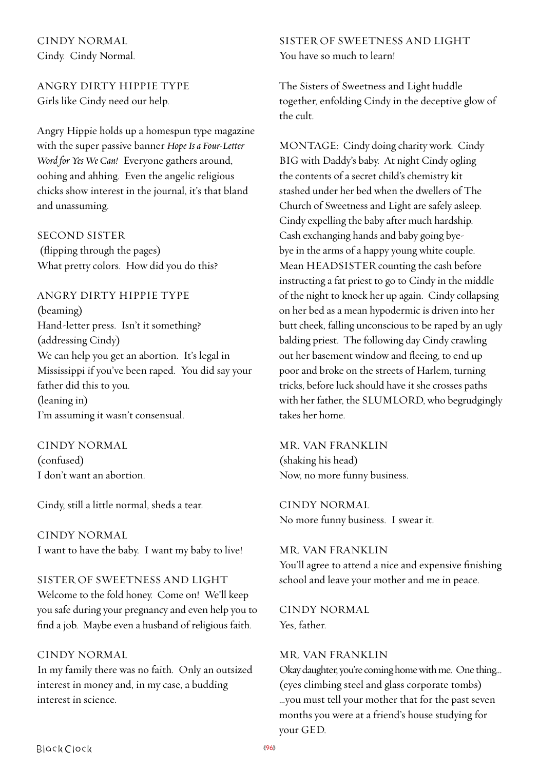CINDY NORMAL Cindy. Cindy Normal.

ANGRY DIRTY HIPPIE TYPE Girls like Cindy need our help.

Angry Hippie holds up a homespun type magazine with the super passive banner *Hope Is a Four-Letter Word for Yes We Can!* Everyone gathers around, oohing and ahhing. Even the angelic religious chicks show interest in the journal, it's that bland and unassuming.

## SECOND SISTER

 (flipping through the pages) What pretty colors. How did you do this?

ANGRY DIRTY HIPPIE TYPE (beaming) Hand-letter press. Isn't it something? (addressing Cindy) We can help you get an abortion. It's legal in Mississippi if you've been raped. You did say your father did this to you. (leaning in) I'm assuming it wasn't consensual.

CINDY NORMAL (confused) I don't want an abortion.

Cindy, still a little normal, sheds a tear.

CINDY NORMAL I want to have the baby. I want my baby to live!

SISTER OF SWEETNESS AND LIGHT Welcome to the fold honey. Come on! We'll keep you safe during your pregnancy and even help you to find a job. Maybe even a husband of religious faith.

## CINDY NORMAL

In my family there was no faith. Only an outsized interest in money and, in my case, a budding interest in science.

SISTER OF SWEETNESS AND LIGHT You have so much to learn!

The Sisters of Sweetness and Light huddle together, enfolding Cindy in the deceptive glow of the cult.

MONTAGE: Cindy doing charity work. Cindy BIG with Daddy's baby. At night Cindy ogling the contents of a secret child's chemistry kit stashed under her bed when the dwellers of The Church of Sweetness and Light are safely asleep. Cindy expelling the baby after much hardship. Cash exchanging hands and baby going byebye in the arms of a happy young white couple. Mean HEADSISTER counting the cash before instructing a fat priest to go to Cindy in the middle of the night to knock her up again. Cindy collapsing on her bed as a mean hypodermic is driven into her butt cheek, falling unconscious to be raped by an ugly balding priest. The following day Cindy crawling out her basement window and fleeing, to end up poor and broke on the streets of Harlem, turning tricks, before luck should have it she crosses paths with her father, the SLUMLORD, who begrudgingly takes her home.

MR. VAN FRANKLIN (shaking his head) Now, no more funny business.

CINDY NORMAL No more funny business. I swear it.

MR. VAN FRANKLIN You'll agree to attend a nice and expensive finishing school and leave your mother and me in peace.

CINDY NORMAL Yes, father.

## MR. VAN FRANKLIN

Okay daughter, you're coming home with me. One thing… (eyes climbing steel and glass corporate tombs) …you must tell your mother that for the past seven months you were at a friend's house studying for your GED.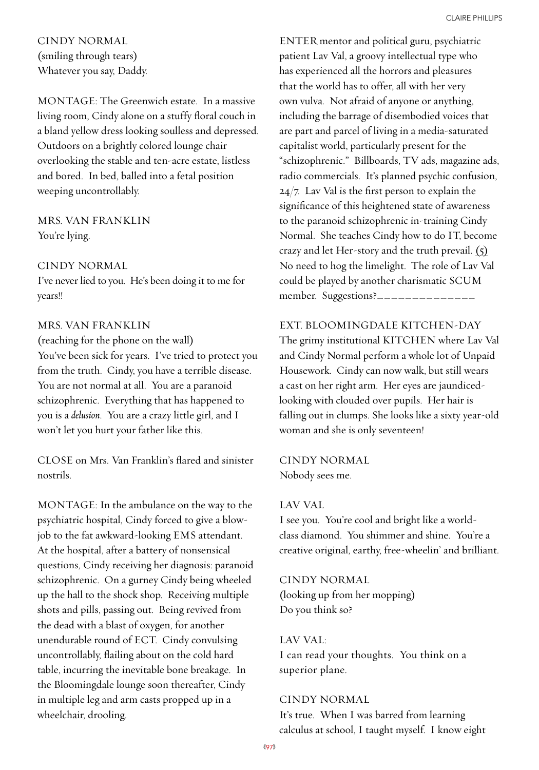CINDY NORMAL (smiling through tears) Whatever you say, Daddy.

MONTAGE: The Greenwich estate. In a massive living room, Cindy alone on a stuffy floral couch in a bland yellow dress looking soulless and depressed. Outdoors on a brightly colored lounge chair overlooking the stable and ten-acre estate, listless and bored. In bed, balled into a fetal position weeping uncontrollably.

# MRS. VAN FRANKLIN You're lying.

## CINDY NORMAL

I've never lied to you. He's been doing it to me for years!!

#### MRS. VAN FRANKLIN

(reaching for the phone on the wall) You've been sick for years. I've tried to protect you from the truth. Cindy, you have a terrible disease. You are not normal at all. You are a paranoid schizophrenic. Everything that has happened to you is a *delusion*. You are a crazy little girl, and I won't let you hurt your father like this.

CLOSE on Mrs. Van Franklin's flared and sinister nostrils.

MONTAGE: In the ambulance on the way to the psychiatric hospital, Cindy forced to give a blowjob to the fat awkward-looking EMS attendant. At the hospital, after a battery of nonsensical questions, Cindy receiving her diagnosis: paranoid schizophrenic. On a gurney Cindy being wheeled up the hall to the shock shop. Receiving multiple shots and pills, passing out. Being revived from the dead with a blast of oxygen, for another unendurable round of ECT. Cindy convulsing uncontrollably, flailing about on the cold hard table, incurring the inevitable bone breakage. In the Bloomingdale lounge soon thereafter, Cindy in multiple leg and arm casts propped up in a wheelchair, drooling.

ENTER mentor and political guru, psychiatric patient Lav Val, a groovy intellectual type who has experienced all the horrors and pleasures that the world has to offer, all with her very own vulva. Not afraid of anyone or anything, including the barrage of disembodied voices that are part and parcel of living in a media-saturated capitalist world, particularly present for the "schizophrenic." Billboards, TV ads, magazine ads, radio commercials. It's planned psychic confusion, 24/7. Lav Val is the first person to explain the significance of this heightened state of awareness to the paranoid schizophrenic in-training Cindy Normal. She teaches Cindy how to do IT, become crazy and let Her-story and the truth prevail.  $(s)$ No need to hog the limelight. The role of Lav Val could be played by another charismatic SCUM member. Suggestions?\_\_\_\_\_\_\_\_

#### EXT. BLOOMINGDALE KITCHEN-DAY

The grimy institutional KITCHEN where Lav Val and Cindy Normal perform a whole lot of Unpaid Housework. Cindy can now walk, but still wears a cast on her right arm. Her eyes are jaundicedlooking with clouded over pupils. Her hair is falling out in clumps. She looks like a sixty year-old woman and she is only seventeen!

CINDY NORMAL Nobody sees me.

#### LAV VAL

I see you. You're cool and bright like a worldclass diamond. You shimmer and shine. You're a creative original, earthy, free-wheelin' and brilliant.

#### CINDY NORMAL

(looking up from her mopping) Do you think so?

#### LAV VAL:

I can read your thoughts. You think on a superior plane.

#### CINDY NORMAL

It's true. When I was barred from learning calculus at school, I taught myself. I know eight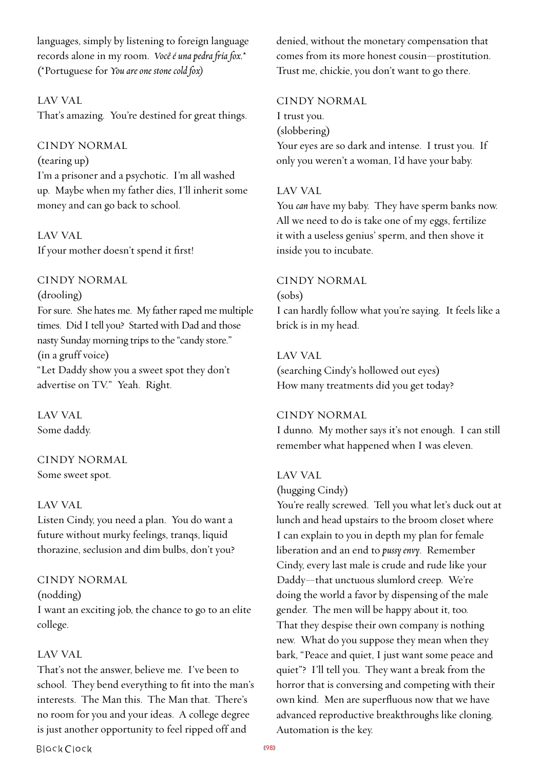languages, simply by listening to foreign language records alone in my room. *Você é una pedra fria fox.*\* (\*Portuguese for *You are one stone cold fox)*

LAV VAL

That's amazing. You're destined for great things.

CINDY NORMAL

(tearing up) I'm a prisoner and a psychotic. I'm all washed up. Maybe when my father dies, I'll inherit some money and can go back to school.

LAV VAL If your mother doesn't spend it first!

## CINDY NORMAL

(drooling) For sure. She hates me. My father raped me multiple times. Did I tell you? Started with Dad and those nasty Sunday morning trips to the "candy store." (in a gruff voice) "Let Daddy show you a sweet spot they don't advertise on TV." Yeah. Right.

LAV VAL Some daddy.

# CINDY NORMAL

Some sweet spot.

## LAV VAL

Listen Cindy, you need a plan. You do want a future without murky feelings, tranqs, liquid thorazine, seclusion and dim bulbs, don't you?

# CINDY NORMAL

(nodding)

I want an exciting job, the chance to go to an elite college.

## LAV VAL

That's not the answer, believe me. I've been to school. They bend everything to fit into the man's interests. The Man this. The Man that. There's no room for you and your ideas. A college degree is just another opportunity to feel ripped off and

denied, without the monetary compensation that comes from its more honest cousin—prostitution. Trust me, chickie, you don't want to go there.

# CINDY NORMAL I trust you.

(slobbering) Your eyes are so dark and intense. I trust you. If only you weren't a woman, I'd have your baby.

# LAV VAL

You *can* have my baby. They have sperm banks now. All we need to do is take one of my eggs, fertilize it with a useless genius' sperm, and then shove it inside you to incubate.

## CINDY NORMAL

(sobs) I can hardly follow what you're saying. It feels like a brick is in my head.

## LAV VAL

(searching Cindy's hollowed out eyes) How many treatments did you get today?

# CINDY NORMAL

I dunno. My mother says it's not enough. I can still remember what happened when I was eleven.

## LAV VAL

(hugging Cindy)

You're really screwed. Tell you what let's duck out at lunch and head upstairs to the broom closet where I can explain to you in depth my plan for female liberation and an end to *pussy envy*. Remember Cindy, every last male is crude and rude like your Daddy—that unctuous slumlord creep. We're doing the world a favor by dispensing of the male gender. The men will be happy about it, too. That they despise their own company is nothing new. What do you suppose they mean when they bark, "Peace and quiet, I just want some peace and quiet"? I'll tell you. They want a break from the horror that is conversing and competing with their own kind. Men are superfluous now that we have advanced reproductive breakthroughs like cloning. Automation is the key.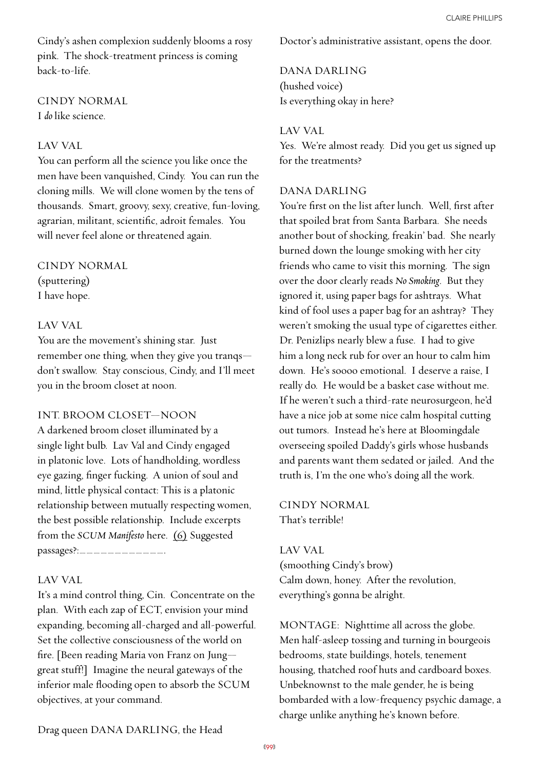Cindy's ashen complexion suddenly blooms a rosy pink. The shock-treatment princess is coming back-to-life.

CINDY NORMAL I *do* like science.

## LAV VAL

You can perform all the science you like once the men have been vanquished, Cindy. You can run the cloning mills. We will clone women by the tens of thousands. Smart, groovy, sexy, creative, fun-loving, agrarian, militant, scientific, adroit females. You will never feel alone or threatened again.

## CINDY NORMAL

(sputtering) I have hope.

# LAV VAL

You are the movement's shining star. Just remember one thing, when they give you tranqs don't swallow. Stay conscious, Cindy, and I'll meet you in the broom closet at noon.

# INT. BROOM CLOSET—NOON

A darkened broom closet illuminated by a single light bulb. Lav Val and Cindy engaged in platonic love. Lots of handholding, wordless eye gazing, finger fucking. A union of soul and mind, little physical contact: This is a platonic relationship between mutually respecting women, the best possible relationship. Include excerpts from the *SCUM Manifesto* here. (6) Suggested passages?:\_\_\_\_\_\_\_\_\_\_\_\_\_\_\_.

# LAV VAL

It's a mind control thing, Cin. Concentrate on the plan. With each zap of ECT, envision your mind expanding, becoming all-charged and all-powerful. Set the collective consciousness of the world on fire. [Been reading Maria von Franz on Jung great stuff!] Imagine the neural gateways of the inferior male flooding open to absorb the SCUM objectives, at your command.

Doctor's administrative assistant, opens the door.

# DANA DARLING (hushed voice) Is everything okay in here?

# LAV VAL

Yes. We're almost ready. Did you get us signed up for the treatments?

## DANA DARLING

You're first on the list after lunch. Well, first after that spoiled brat from Santa Barbara. She needs another bout of shocking, freakin' bad. She nearly burned down the lounge smoking with her city friends who came to visit this morning. The sign over the door clearly reads *No Smoking*. But they ignored it, using paper bags for ashtrays. What kind of fool uses a paper bag for an ashtray? They weren't smoking the usual type of cigarettes either. Dr. Penizlips nearly blew a fuse. I had to give him a long neck rub for over an hour to calm him down. He's soooo emotional. I deserve a raise, I really do. He would be a basket case without me. If he weren't such a third-rate neurosurgeon, he'd have a nice job at some nice calm hospital cutting out tumors. Instead he's here at Bloomingdale overseeing spoiled Daddy's girls whose husbands and parents want them sedated or jailed. And the truth is, I'm the one who's doing all the work.

CINDY NORMAL That's terrible!

## LAV VAL

(smoothing Cindy's brow) Calm down, honey. After the revolution, everything's gonna be alright.

MONTAGE: Nighttime all across the globe. Men half-asleep tossing and turning in bourgeois bedrooms, state buildings, hotels, tenement housing, thatched roof huts and cardboard boxes. Unbeknownst to the male gender, he is being bombarded with a low-frequency psychic damage, a charge unlike anything he's known before.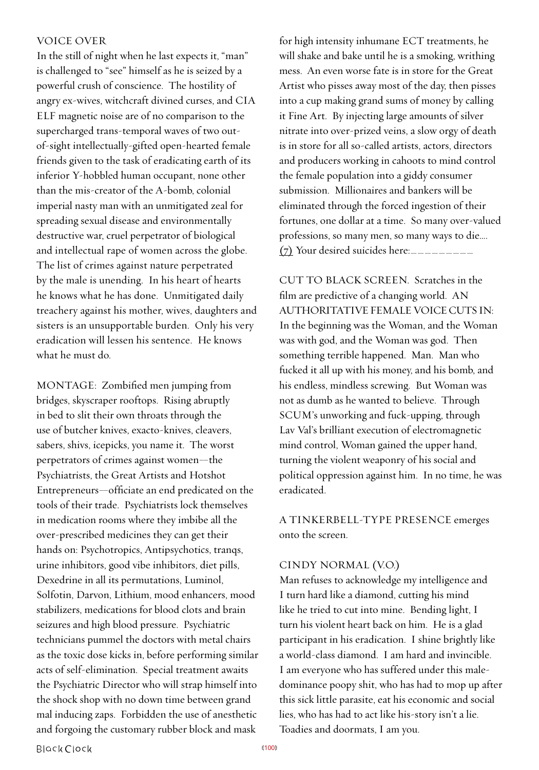## VOICE OVER

In the still of night when he last expects it, "man" is challenged to "see" himself as he is seized by a powerful crush of conscience. The hostility of angry ex-wives, witchcraft divined curses, and CIA ELF magnetic noise are of no comparison to the supercharged trans-temporal waves of two outof-sight intellectually-gifted open-hearted female friends given to the task of eradicating earth of its inferior Y-hobbled human occupant, none other than the mis-creator of the A-bomb, colonial imperial nasty man with an unmitigated zeal for spreading sexual disease and environmentally destructive war, cruel perpetrator of biological and intellectual rape of women across the globe. The list of crimes against nature perpetrated by the male is unending. In his heart of hearts he knows what he has done. Unmitigated daily treachery against his mother, wives, daughters and sisters is an unsupportable burden. Only his very eradication will lessen his sentence. He knows what he must do.

MONTAGE: Zombified men jumping from bridges, skyscraper rooftops. Rising abruptly in bed to slit their own throats through the use of butcher knives, exacto-knives, cleavers, sabers, shivs, icepicks, you name it. The worst perpetrators of crimes against women—the Psychiatrists, the Great Artists and Hotshot Entrepreneurs—officiate an end predicated on the tools of their trade. Psychiatrists lock themselves in medication rooms where they imbibe all the over-prescribed medicines they can get their hands on: Psychotropics, Antipsychotics, tranqs, urine inhibitors, good vibe inhibitors, diet pills, Dexedrine in all its permutations, Luminol, Solfotin, Darvon, Lithium, mood enhancers, mood stabilizers, medications for blood clots and brain seizures and high blood pressure. Psychiatric technicians pummel the doctors with metal chairs as the toxic dose kicks in, before performing similar acts of self-elimination. Special treatment awaits the Psychiatric Director who will strap himself into the shock shop with no down time between grand mal inducing zaps. Forbidden the use of anesthetic and forgoing the customary rubber block and mask

for high intensity inhumane ECT treatments, he will shake and bake until he is a smoking, writhing mess. An even worse fate is in store for the Great Artist who pisses away most of the day, then pisses into a cup making grand sums of money by calling it Fine Art. By injecting large amounts of silver nitrate into over-prized veins, a slow orgy of death is in store for all so-called artists, actors, directors and producers working in cahoots to mind control the female population into a giddy consumer submission. Millionaires and bankers will be eliminated through the forced ingestion of their fortunes, one dollar at a time. So many over-valued professions, so many men, so many ways to die….  $(7)$  Your desired suicides here:

CUT TO BLACK SCREEN. Scratches in the film are predictive of a changing world. AN AUTHORITATIVE FEMALE VOICE CUTS IN: In the beginning was the Woman, and the Woman was with god, and the Woman was god. Then something terrible happened. Man. Man who fucked it all up with his money, and his bomb, and his endless, mindless screwing. But Woman was not as dumb as he wanted to believe. Through SCUM's unworking and fuck-upping, through Lav Val's brilliant execution of electromagnetic mind control, Woman gained the upper hand, turning the violent weaponry of his social and political oppression against him. In no time, he was eradicated.

A TINKERBELL-TYPE PRESENCE emerges onto the screen.

#### CINDY NORMAL (V.O.)

Man refuses to acknowledge my intelligence and I turn hard like a diamond, cutting his mind like he tried to cut into mine. Bending light, I turn his violent heart back on him. He is a glad participant in his eradication. I shine brightly like a world-class diamond. I am hard and invincible. I am everyone who has suffered under this maledominance poopy shit, who has had to mop up after this sick little parasite, eat his economic and social lies, who has had to act like his-story isn't a lie. Toadies and doormats, I am you.